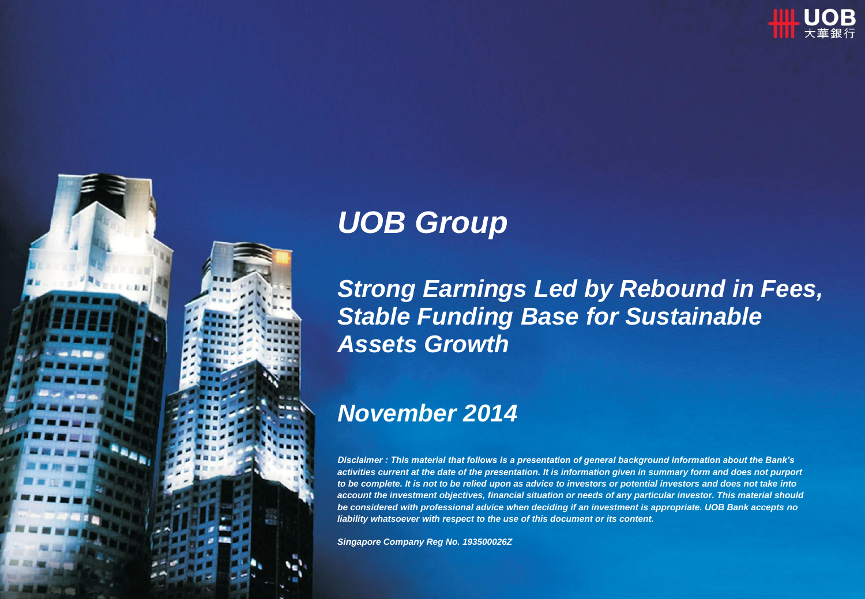



# *UOB Group*

*Strong Earnings Led by Rebound in Fees, Stable Funding Base for Sustainable Assets Growth*

### *November 2014*

*Disclaimer : This material that follows is a presentation of general background information about the Bank's*  activities current at the date of the presentation. It is information given in summary form and does not purport *to be complete. It is not to be relied upon as advice to investors or potential investors and does not take into account the investment objectives, financial situation or needs of any particular investor. This material should be considered with professional advice when deciding if an investment is appropriate. UOB Bank accepts no liability whatsoever with respect to the use of this document or its content.*

*Singapore Company Reg No. 193500026Z*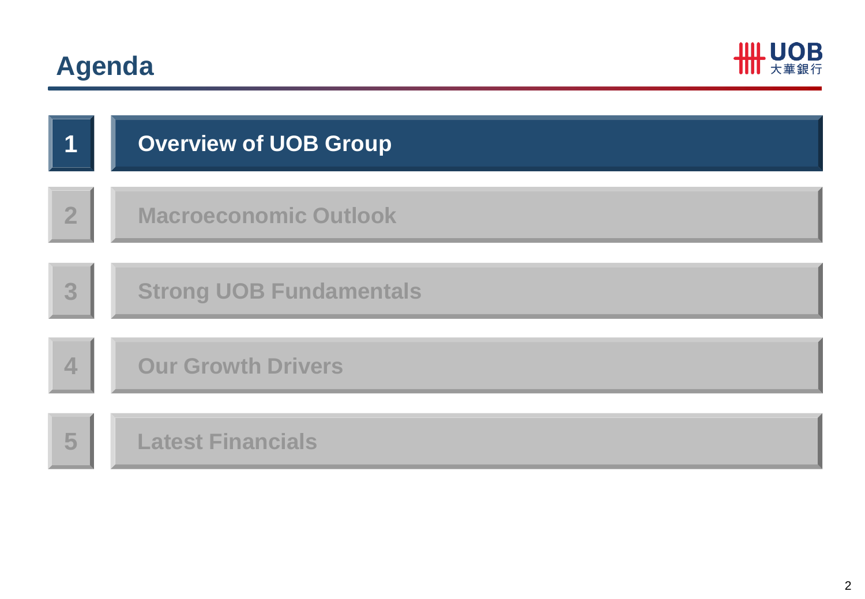# **Agenda**



| 1                | <b>Overview of UOB Group</b>   |
|------------------|--------------------------------|
| $\overline{2}$   | <b>Macroeconomic Outlook</b>   |
| 3 <sub>1</sub>   | <b>Strong UOB Fundamentals</b> |
| $\blacktriangle$ | <b>Our Growth Drivers</b>      |
| 5                | <b>Latest Financials</b>       |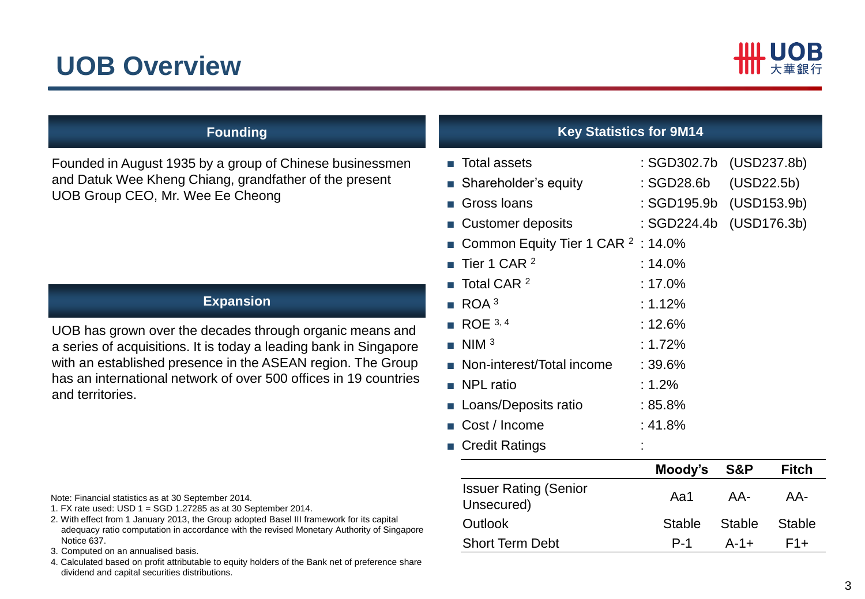### **UOB Overview**



Founded in August 1935 by a group of Chinese businessmen and Datuk Wee Kheng Chiang, grandfather of the present UOB Group CEO, Mr. Wee Ee Cheong

### **Expansion**

UOB has grown over the decades through organic means and a series of acquisitions. It is today a leading bank in Singapore with an established presence in the ASEAN region. The Group has an international network of over 500 offices in 19 countries and territories.

### **Founding Key Statistics for 9M14**

| <b>Total assets</b><br>$\mathcal{L}_{\mathcal{A}}$ |                                               | : SGD302.7b             | (USD237.8b)    |               |
|----------------------------------------------------|-----------------------------------------------|-------------------------|----------------|---------------|
| ■ Shareholder's equity                             |                                               | : SGD28.6b              | (USD22.5b)     |               |
| Gross Ioans<br>×.                                  |                                               | : SGD195.9b (USD153.9b) |                |               |
| <b>Customer deposits</b>                           |                                               | : SGD224.4b             |                | (USD176.3b)   |
| m.                                                 | Common Equity Tier 1 CAR <sup>2</sup> : 14.0% |                         |                |               |
| Tier 1 CAR <sup>2</sup>                            |                                               | : $14.0%$               |                |               |
| Total CAR <sup>2</sup>                             |                                               | : $17.0\%$              |                |               |
| ROA <sup>3</sup>                                   |                                               | : 1.12%                 |                |               |
| ROE 3, 4                                           |                                               | : 12.6%                 |                |               |
| NIM <sup>3</sup><br>m.                             |                                               | : $1.72%$               |                |               |
| ■ Non-interest/Total income                        |                                               | : 39.6%                 |                |               |
| <b>NPL</b> ratio<br><b>College</b>                 |                                               | : $1.2%$                |                |               |
| ■ Loans/Deposits ratio                             |                                               | $:85.8\%$               |                |               |
| Cost / Income                                      |                                               | : 41.8%                 |                |               |
| <b>Credit Ratings</b><br><b>The Co</b>             |                                               |                         |                |               |
|                                                    |                                               | Moody's                 | <b>S&amp;P</b> | <b>Fitch</b>  |
| <b>Issuer Rating (Senior</b><br>Unsecured)         |                                               | Aa1                     | AA-            | AA-           |
| Outlook                                            |                                               | <b>Stable</b>           | <b>Stable</b>  | <b>Stable</b> |

Short Term Debt **P-1** A-1+ F1+

Note: Financial statistics as at 30 September 2014.

- 1. FX rate used: USD 1 = SGD 1.27285 as at 30 September 2014.
- 2. With effect from 1 January 2013, the Group adopted Basel III framework for its capital adequacy ratio computation in accordance with the revised Monetary Authority of Singapore Notice 637.
- 3. Computed on an annualised basis.
- 4. Calculated based on profit attributable to equity holders of the Bank net of preference share dividend and capital securities distributions.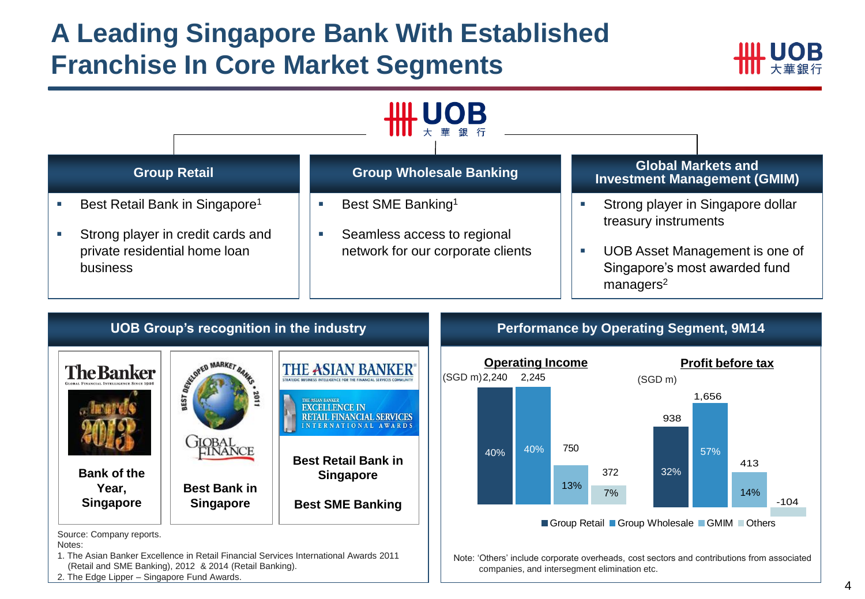### **A Leading Singapore Bank With Established Franchise In Core Market Segments**





Source: Company reports.

Notes:

- 1. The Asian Banker Excellence in Retail Financial Services International Awards 2011 (Retail and SME Banking), 2012 & 2014 (Retail Banking).
- 2. The Edge Lipper Singapore Fund Awards.

#### **UOB Group's recognition in the industry <b>Performance by Operating Segment, 9M14**



Note: 'Others' include corporate overheads, cost sectors and contributions from associated companies, and intersegment elimination etc.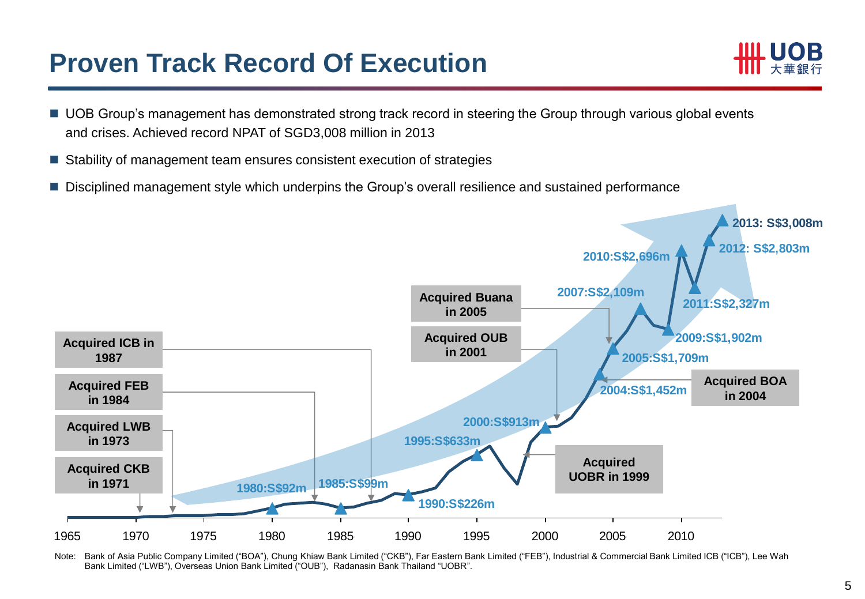### **Proven Track Record Of Execution**



- UOB Group's management has demonstrated strong track record in steering the Group through various global events and crises. Achieved record NPAT of SGD3,008 million in 2013
- Stability of management team ensures consistent execution of strategies
- **Disciplined management style which underpins the Group's overall resilience and sustained performance**



Note: Bank of Asia Public Company Limited ("BOA"), Chung Khiaw Bank Limited ("CKB"), Far Eastern Bank Limited ("FEB"), Industrial & Commercial Bank Limited ICB ("ICB"), Lee Wah Bank Limited ("LWB"), Overseas Union Bank Limited ("OUB"), Radanasin Bank Thailand "UOBR".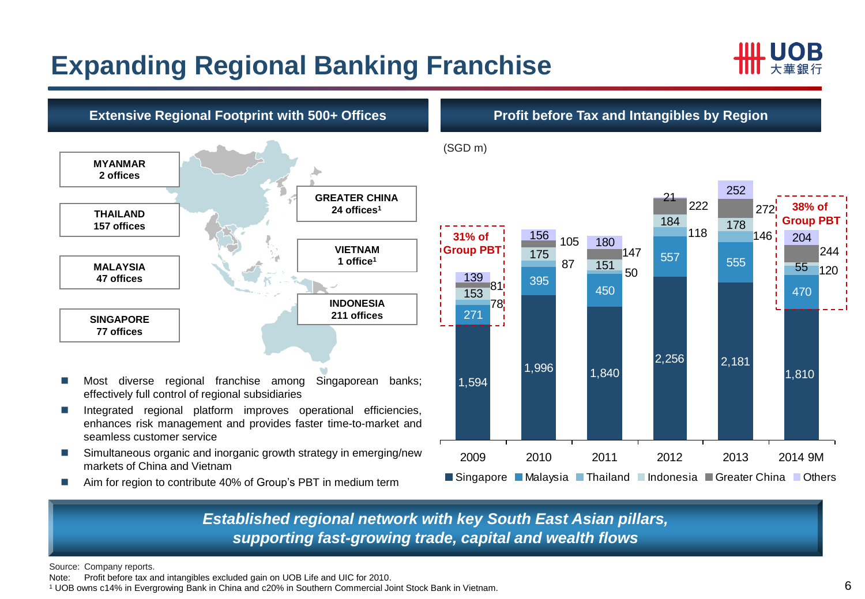# **Expanding Regional Banking Franchise**





■ Aim for region to contribute 40% of Group's PBT in medium term

*Established regional network with key South East Asian pillars, supporting fast-growing trade, capital and wealth flows*

Source: Company reports.

Note: Profit before tax and intangibles excluded gain on UOB Life and UIC for 2010.

<sup>1</sup> UOB owns c14% in Evergrowing Bank in China and c20% in Southern Commercial Joint Stock Bank in Vietnam.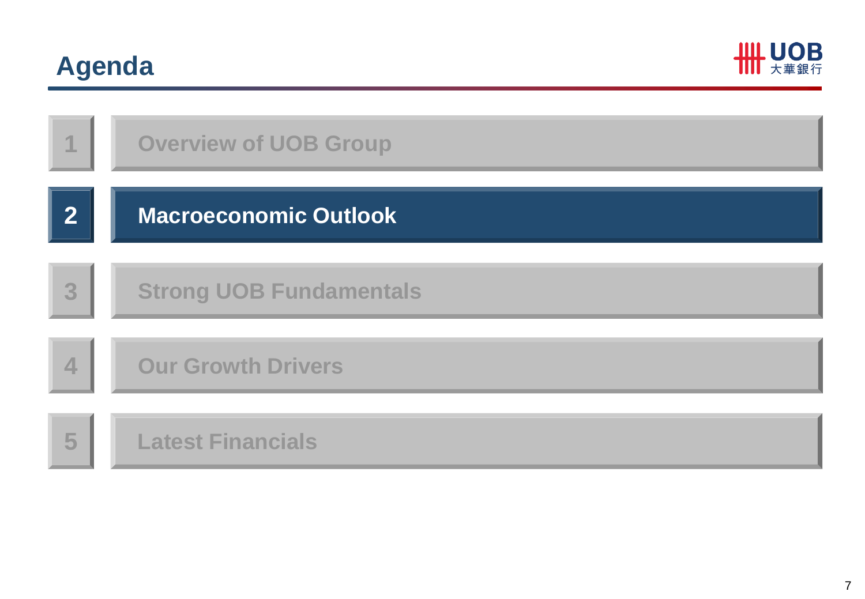# **Agenda**



|                  | <b>Overview of UOB Group</b>   |
|------------------|--------------------------------|
| $\mathbf{2}$     | <b>Macroeconomic Outlook</b>   |
| 3                | <b>Strong UOB Fundamentals</b> |
| $\blacktriangle$ | <b>Our Growth Drivers</b>      |
| 5                | <b>Latest Financials</b>       |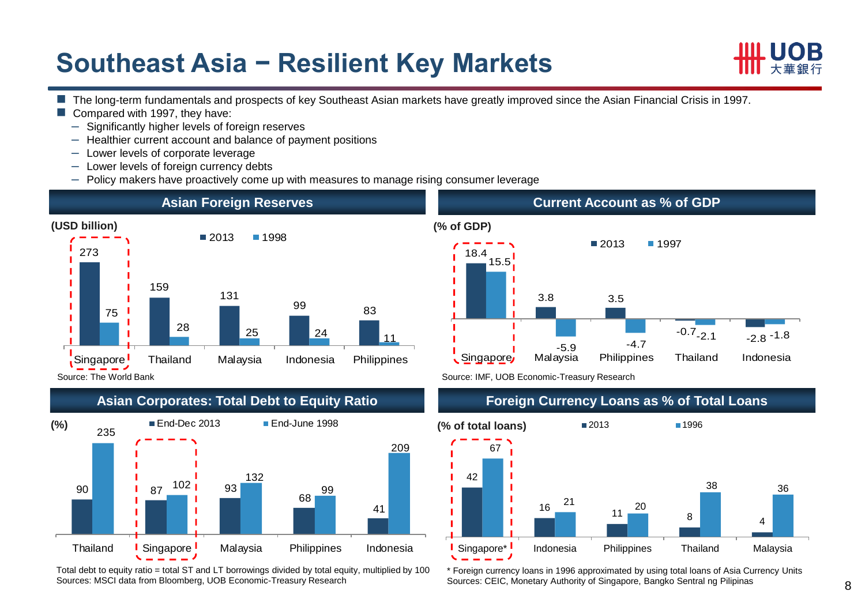### **Southeast Asia − Resilient Key Markets**



- The long-term fundamentals and prospects of key Southeast Asian markets have greatly improved since the Asian Financial Crisis in 1997.
- Compared with 1997, they have:
	- ‒ Significantly higher levels of foreign reserves
	- ‒ Healthier current account and balance of payment positions
	- ‒ Lower levels of corporate leverage
	- ‒ Lower levels of foreign currency debts
	- Policy makers have proactively come up with measures to manage rising consumer leverage





Total debt to equity ratio = total ST and LT borrowings divided by total equity, multiplied by 100 Sources: MSCI data from Bloomberg, UOB Economic-Treasury Research



Source: IMF, UOB Economic-Treasury Research

### **Foreign Currency Loans as % of Total Loans**



\* Foreign currency loans in 1996 approximated by using total loans of Asia Currency Units Sources: CEIC, Monetary Authority of Singapore, Bangko Sentral ng Pilipinas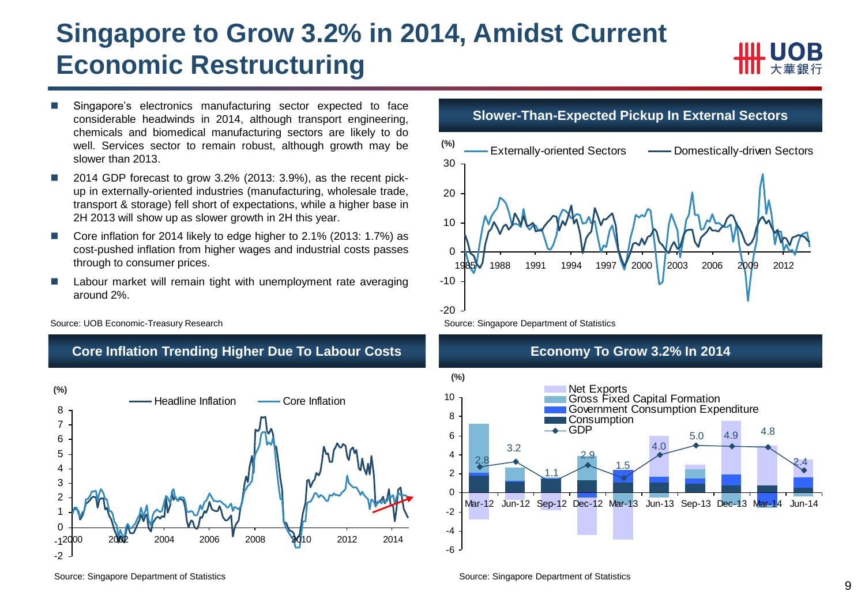### **Singapore to Grow 3.2% in 2014, Amidst Current Economic Restructuring**



- Singapore's electronics manufacturing sector expected to face considerable headwinds in 2014, although transport engineering, chemicals and biomedical manufacturing sectors are likely to do well. Services sector to remain robust, although growth may be slower than 2013.
- 2014 GDP forecast to grow 3.2% (2013: 3.9%), as the recent pickup in externally-oriented industries (manufacturing, wholesale trade, transport & storage) fell short of expectations, while a higher base in 2H 2013 will show up as slower growth in 2H this year.
- Core inflation for 2014 likely to edge higher to 2.1% (2013: 1.7%) as cost-pushed inflation from higher wages and industrial costs passes through to consumer prices.
- Labour market will remain tight with unemployment rate averaging around 2%.

**Core Inflation Trending Higher Due To Labour Costs**

Source: UOB Economic-Treasury Research



**Slower-Than-Expected Pickup In External Sectors**







Source: Singapore Department of Statistics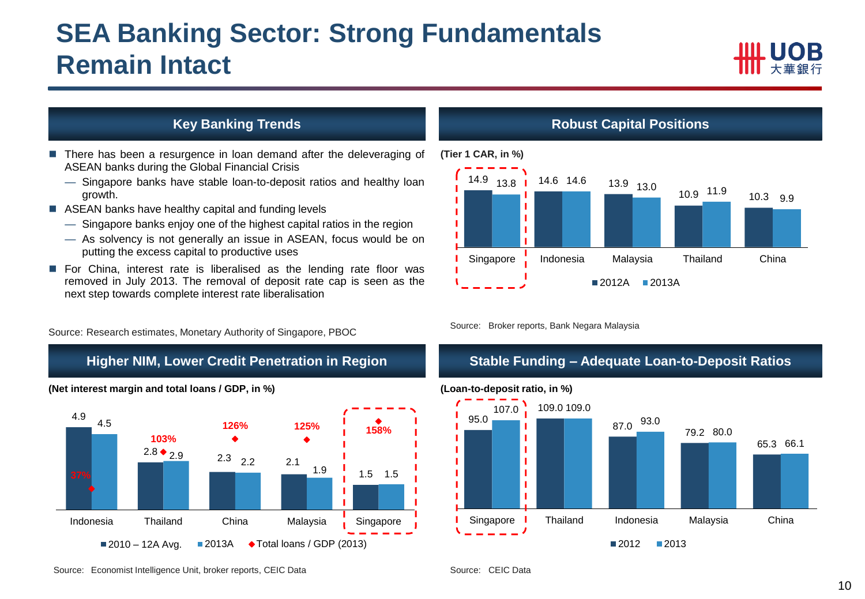### **SEA Banking Sector: Strong Fundamentals Remain Intact**



### **Key Banking Trends**

- **There has been a resurgence in loan demand after the deleveraging of** ASEAN banks during the Global Financial Crisis
	- Singapore banks have stable loan-to-deposit ratios and healthy loan growth.
- ASEAN banks have healthy capital and funding levels
	- Singapore banks enjoy one of the highest capital ratios in the region
	- As solvency is not generally an issue in ASEAN, focus would be on putting the excess capital to productive uses
- **For China, interest rate is liberalised as the lending rate floor was** removed in July 2013. The removal of deposit rate cap is seen as the next step towards complete interest rate liberalisation

Source: Research estimates, Monetary Authority of Singapore, PBOC

#### **Higher NIM, Lower Credit Penetration in Region**



#### **(Net interest margin and total loans / GDP, in %)**

#### **Robust Capital Positions**



Source: Broker reports, Bank Negara Malaysia

### **Stable Funding – Adequate Loan-to-Deposit Ratios**

#### **(Loan-to-deposit ratio, in %)**



Source: Economist Intelligence Unit, broker reports, CEIC Data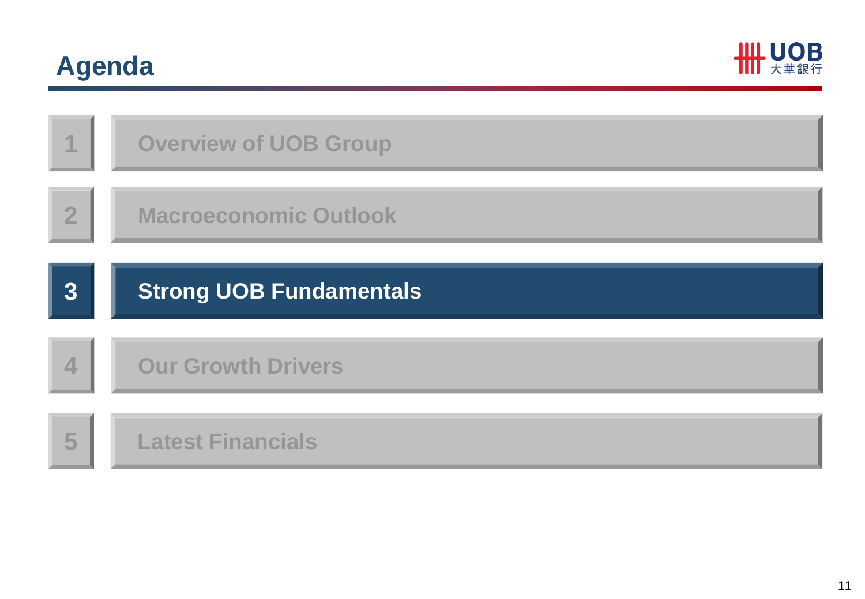# **Agenda**



| 1                | <b>Overview of UOB Group</b>   |
|------------------|--------------------------------|
| $\overline{2}$   | <b>Macroeconomic Outlook</b>   |
| $3\phantom{.0}$  | <b>Strong UOB Fundamentals</b> |
|                  |                                |
|                  |                                |
| $\blacktriangle$ | <b>Our Growth Drivers</b>      |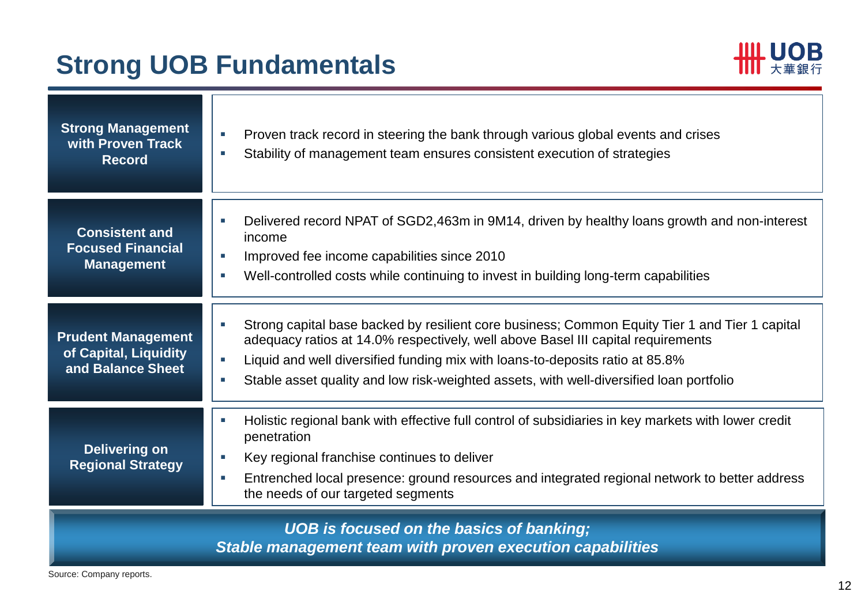## **Strong UOB Fundamentals**



| <b>Strong Management</b><br>with Proven Track<br><b>Record</b>          | Proven track record in steering the bank through various global events and crises<br>×<br>Stability of management team ensures consistent execution of strategies<br>×                                                                                                                                                                                                                                   |
|-------------------------------------------------------------------------|----------------------------------------------------------------------------------------------------------------------------------------------------------------------------------------------------------------------------------------------------------------------------------------------------------------------------------------------------------------------------------------------------------|
| <b>Consistent and</b><br><b>Focused Financial</b><br><b>Management</b>  | Delivered record NPAT of SGD2,463m in 9M14, driven by healthy loans growth and non-interest<br>×.<br>income<br>Improved fee income capabilities since 2010<br>a.<br>Well-controlled costs while continuing to invest in building long-term capabilities<br>×.                                                                                                                                            |
| <b>Prudent Management</b><br>of Capital, Liquidity<br>and Balance Sheet | Strong capital base backed by resilient core business; Common Equity Tier 1 and Tier 1 capital<br>п<br>adequacy ratios at 14.0% respectively, well above Basel III capital requirements<br>Liquid and well diversified funding mix with loans-to-deposits ratio at 85.8%<br>$\mathcal{L}_{\mathcal{A}}$<br>Stable asset quality and low risk-weighted assets, with well-diversified loan portfolio<br>×. |
| <b>Delivering on</b><br><b>Regional Strategy</b>                        | Holistic regional bank with effective full control of subsidiaries in key markets with lower credit<br>$\overline{\phantom{a}}$<br>penetration<br>Key regional franchise continues to deliver<br>п<br>Entrenched local presence: ground resources and integrated regional network to better address<br>×.<br>the needs of our targeted segments                                                          |
|                                                                         | <b>UOB</b> is focused on the basics of banking;<br>Stable management team with proven execution capabilities                                                                                                                                                                                                                                                                                             |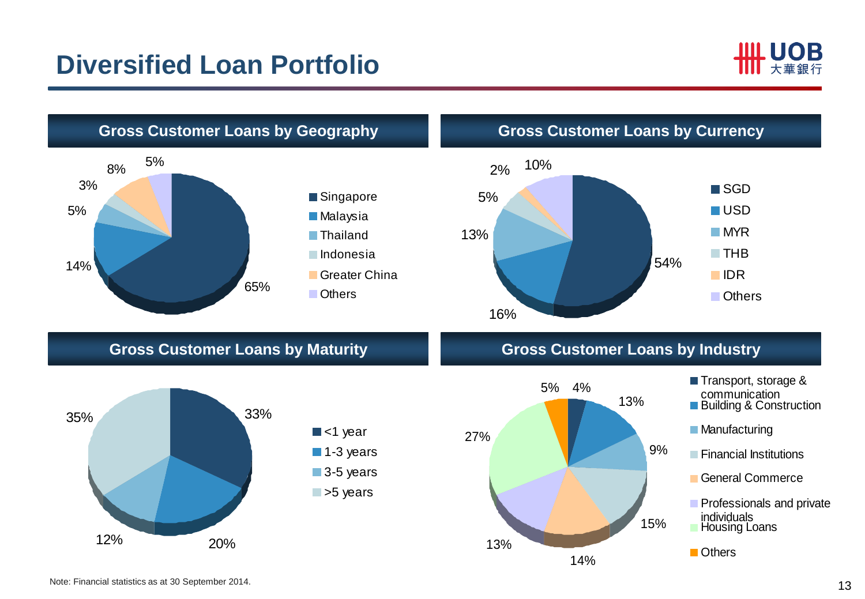### **Diversified Loan Portfolio**



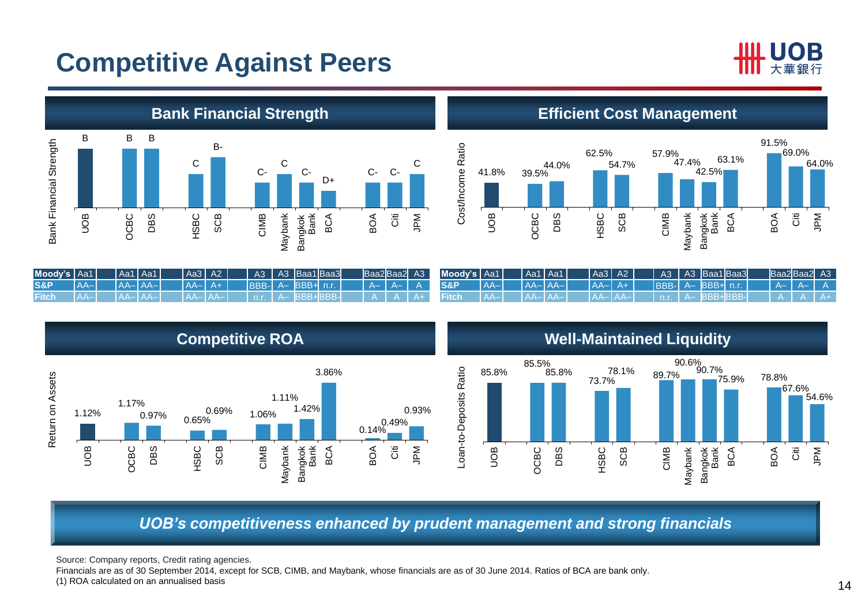### **Competitive Against Peers**





**Efficient Cost Management** 



| Mody's   Aa1   |       | Aa1   Aa1   | Aa3   A2    |  | $A3 \parallel$ | A3 Baa1 Baa3     |  |  | Baa2Baa2 A3 | Moody's Aa1    |       | Aa1 Aa1     | Aa3 A2  |      | A3           | A3 Baa1Baa3    |  | Baa2Baa2 A3 |  |
|----------------|-------|-------------|-------------|--|----------------|------------------|--|--|-------------|----------------|-------|-------------|---------|------|--------------|----------------|--|-------------|--|
| <b>S&amp;P</b> | $A -$ | $A - A - A$ | 1 AA-1 A+ 1 |  |                | BBB- A-BBB+ n.r. |  |  |             | <b>S&amp;P</b> | $A -$ | $A - A - I$ | $A - I$ | $A+$ | $IBBB-I A-J$ | $\sqrt{BBB+2}$ |  |             |  |
| Fitch          |       |             |             |  |                |                  |  |  |             |                |       |             |         |      |              |                |  |             |  |

3.86% Return on Assets Return on Assets 1.11% 1.17% 1.42% 0.93%  $0.97\%$  0.69% 1.12% 0.69% 1.06% 0.14% 0.49% SCB UOB OCBC DBS HSBC CIMB BCA BOA Citi JPM Maybank Bangkok Bank

**Competitive ROA Well-Maintained Liquidity** 



*UOB's competitiveness enhanced by prudent management and strong financials*

Source: Company reports, Credit rating agencies.

Financials are as of 30 September 2014, except for SCB, CIMB, and Maybank, whose financials are as of 30 June 2014. Ratios of BCA are bank only. (1) ROA calculated on an annualised basis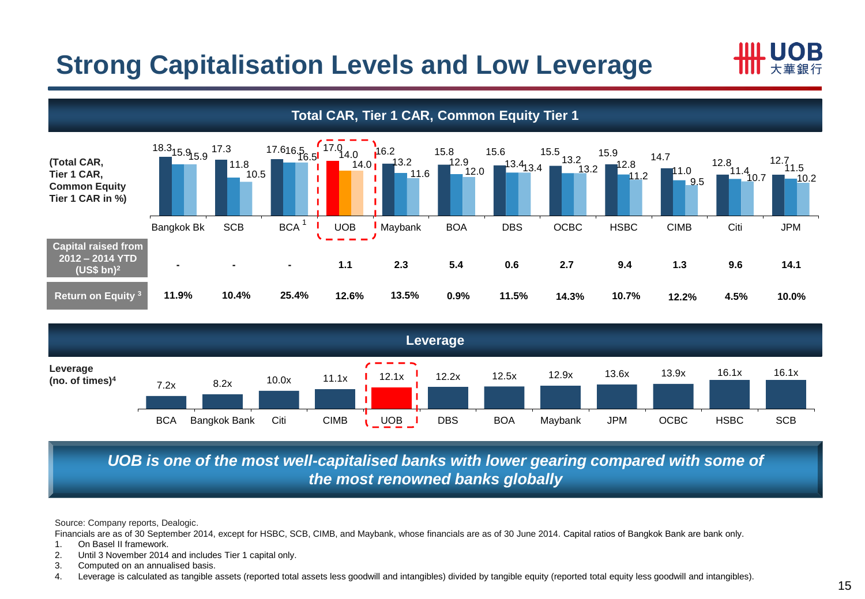## **Strong Capitalisation Levels and Low Leverage**





### *UOB is one of the most well-capitalised banks with lower gearing compared with some of the most renowned banks globally*

Source: Company reports, Dealogic.

Financials are as of 30 September 2014, except for HSBC, SCB, CIMB, and Maybank, whose financials are as of 30 June 2014. Capital ratios of Bangkok Bank are bank only.

- 1. On Basel II framework.
- 2. Until 3 November 2014 and includes Tier 1 capital only.
- 3. Computed on an annualised basis.
- 4. Leverage is calculated as tangible assets (reported total assets less goodwill and intangibles) divided by tangible equity (reported total equity less goodwill and intangibles).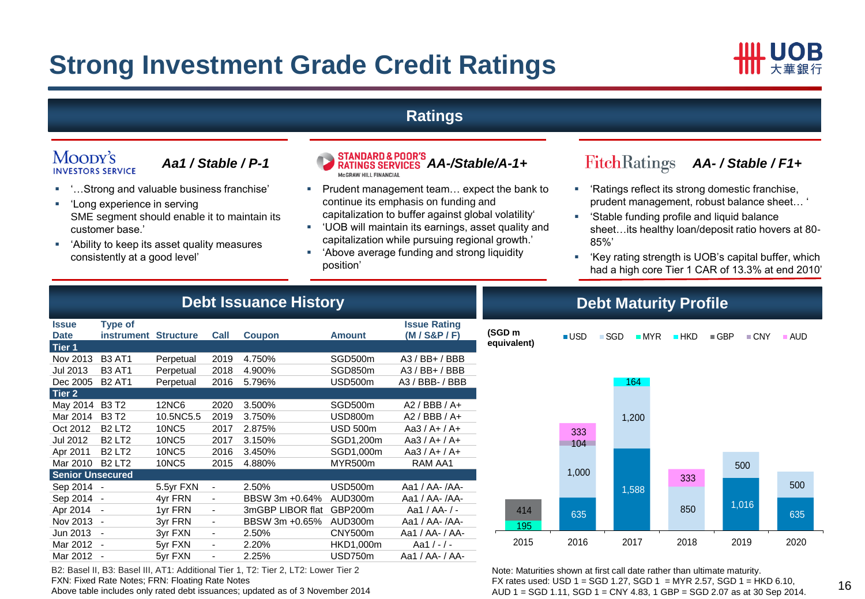### **Strong Investment Grade Credit Ratings**



### **Ratings**

#### Moody's **INVESTORS SERVICE**

- '…Strong and valuable business franchise'
- 'Long experience in serving SME segment should enable it to maintain its customer base.'
- 'Ability to keep its asset quality measures consistently at a good level'



- Prudent management team... expect the bank to continue its emphasis on funding and capitalization to buffer against global volatility'
- 'UOB will maintain its earnings, asset quality and capitalization while pursuing regional growth.'
- 'Above average funding and strong liquidity position'

- 'Ratings reflect its strong domestic franchise, prudent management, robust balance sheet… '
- 'Stable funding profile and liquid balance sheet…its healthy loan/deposit ratio hovers at 80- 85%'
- 'Key rating strength is UOB's capital buffer, which had a high core Tier 1 CAR of 13.3% at end 2010'

|                             | <b>Debt Issuance History</b>                                                                                                   |              |                              |                  |                 |                  |  |  |  |  |
|-----------------------------|--------------------------------------------------------------------------------------------------------------------------------|--------------|------------------------------|------------------|-----------------|------------------|--|--|--|--|
| <b>Issue</b><br><b>Date</b> | <b>Type of</b><br><b>Issue Rating</b><br>$(M/$ S&P $/$ F)<br>Call<br>instrument<br><b>Structure</b><br>Coupon<br><b>Amount</b> |              |                              |                  |                 |                  |  |  |  |  |
| Tier 1                      |                                                                                                                                |              |                              |                  |                 |                  |  |  |  |  |
| Nov 2013                    | <b>B3 AT1</b>                                                                                                                  | Perpetual    | 2019                         | 4.750%           | SGD500m         | $A3 / BB+ / BBB$ |  |  |  |  |
| Jul 2013                    | <b>B3 AT1</b>                                                                                                                  | Perpetual    | 2018                         | 4.900%           | SGD850m         | $A3 / BB+ / BBB$ |  |  |  |  |
| Dec 2005                    | <b>B2 AT1</b>                                                                                                                  | Perpetual    | 2016                         | 5.796%           | USD500m         | A3 / BBB- / BBB  |  |  |  |  |
| Tier 2                      |                                                                                                                                |              |                              |                  |                 |                  |  |  |  |  |
| May 2014                    | <b>B3T2</b>                                                                                                                    | <b>12NC6</b> | 2020                         | 3.500%           | SGD500m         | $A2 / BBB / A+$  |  |  |  |  |
| Mar 2014                    | <b>B3T2</b>                                                                                                                    | 10.5NC5.5    | 2019                         | 3.750%           | USD800m         | $A2 / BBB / A+$  |  |  |  |  |
| Oct 2012                    | <b>B2 LT2</b>                                                                                                                  | <b>10NC5</b> | 2017                         | 2.875%           | <b>USD 500m</b> | Aa3 / A+ / A+    |  |  |  |  |
| Jul 2012                    | <b>B2 LT2</b>                                                                                                                  | <b>10NC5</b> | 2017                         | 3.150%           | SGD1,200m       | Aa3 / A+ / A+    |  |  |  |  |
| Apr 2011                    | <b>B2 LT2</b>                                                                                                                  | <b>10NC5</b> | 2016                         | 3.450%           | SGD1,000m       | Aa3 / A+ / A+    |  |  |  |  |
| Mar 2010                    | <b>B2 LT2</b>                                                                                                                  | <b>10NC5</b> | 2015                         | 4.880%           | <b>MYR500m</b>  | RAM AA1          |  |  |  |  |
| <b>Senior Unsecured</b>     |                                                                                                                                |              |                              |                  |                 |                  |  |  |  |  |
| Sep 2014                    | $\overline{\phantom{a}}$                                                                                                       | 5.5yr FXN    | $\overline{\phantom{0}}$     | 2.50%            | USD500m         | Aa1 / AA- / AA-  |  |  |  |  |
| Sep 2014                    | $\overline{\phantom{a}}$                                                                                                       | 4yr FRN      | $\qquad \qquad \blacksquare$ | BBSW 3m +0.64%   | AUD300m         | Aa1 / AA- /AA-   |  |  |  |  |
| Apr 2014                    | $\overline{\phantom{a}}$                                                                                                       | 1yr FRN      | $\overline{\phantom{m}}$     | 3mGBP LIBOR flat | GBP200m         | Aa1 / AA- / -    |  |  |  |  |
| Nov 2013                    |                                                                                                                                | 3yr FRN      | $\overline{\phantom{a}}$     | BBSW 3m +0.65%   | AUD300m         | Aa1 / AA- /AA-   |  |  |  |  |
| Jun 2013                    |                                                                                                                                | 3yr FXN      | $\overline{\phantom{0}}$     | 2.50%            | CNY500m         | Aa1 / AA- / AA-  |  |  |  |  |
| Mar 2012                    | $\overline{\phantom{a}}$                                                                                                       | 5yr FXN      | $\qquad \qquad \blacksquare$ | 2.20%            | HKD1,000m       | Aa1 $/ - / -$    |  |  |  |  |
| Mar 2012                    | $\blacksquare$                                                                                                                 | 5yr FXN      | $\overline{\phantom{m}}$     | 2.25%            | USD750m         | Aa1 / AA- / AA-  |  |  |  |  |

B2: Basel II, B3: Basel III, AT1: Additional Tier 1, T2: Tier 2, LT2: Lower Tier 2

Above table includes only rated debt issuances; updated as of 3 November 2014

FXN: Fixed Rate Notes; FRN: Floating Rate Notes

**Debt Maturity Profile** 



Note: Maturities shown at first call date rather than ultimate maturity. FX rates used: USD  $1 =$  SGD  $1.27$ , SGD  $1 =$  MYR 2.57, SGD  $1 =$  HKD 6.10, AUD 1 = SGD 1.11, SGD 1 = CNY 4.83, 1 GBP = SGD 2.07 as at 30 Sep 2014.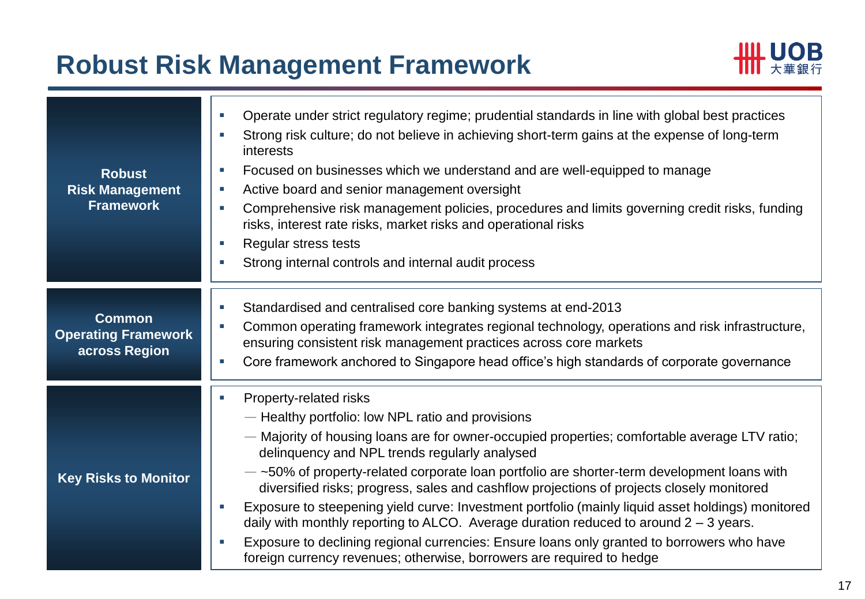### **Robust Risk Management Framework**



| <b>Robust</b><br><b>Risk Management</b><br><b>Framework</b>  | Operate under strict regulatory regime; prudential standards in line with global best practices<br>u.<br>Strong risk culture; do not believe in achieving short-term gains at the expense of long-term<br>interests<br>Focused on businesses which we understand and are well-equipped to manage<br>×.<br>Active board and senior management oversight<br>×.<br>Comprehensive risk management policies, procedures and limits governing credit risks, funding<br>risks, interest rate risks, market risks and operational risks<br>Regular stress tests<br>Strong internal controls and internal audit process                                                                                                                                                                                     |
|--------------------------------------------------------------|----------------------------------------------------------------------------------------------------------------------------------------------------------------------------------------------------------------------------------------------------------------------------------------------------------------------------------------------------------------------------------------------------------------------------------------------------------------------------------------------------------------------------------------------------------------------------------------------------------------------------------------------------------------------------------------------------------------------------------------------------------------------------------------------------|
| <b>Common</b><br><b>Operating Framework</b><br>across Region | Standardised and centralised core banking systems at end-2013<br>Common operating framework integrates regional technology, operations and risk infrastructure,<br>×.<br>ensuring consistent risk management practices across core markets<br>Core framework anchored to Singapore head office's high standards of corporate governance                                                                                                                                                                                                                                                                                                                                                                                                                                                            |
| <b>Key Risks to Monitor</b>                                  | Property-related risks<br>- Healthy portfolio: low NPL ratio and provisions<br>- Majority of housing loans are for owner-occupied properties; comfortable average LTV ratio;<br>delinquency and NPL trends regularly analysed<br>$-$ ~50% of property-related corporate loan portfolio are shorter-term development loans with<br>diversified risks; progress, sales and cashflow projections of projects closely monitored<br>Exposure to steepening yield curve: Investment portfolio (mainly liquid asset holdings) monitored<br>daily with monthly reporting to ALCO. Average duration reduced to around $2 - 3$ years.<br>Exposure to declining regional currencies: Ensure loans only granted to borrowers who have<br>foreign currency revenues; otherwise, borrowers are required to hedge |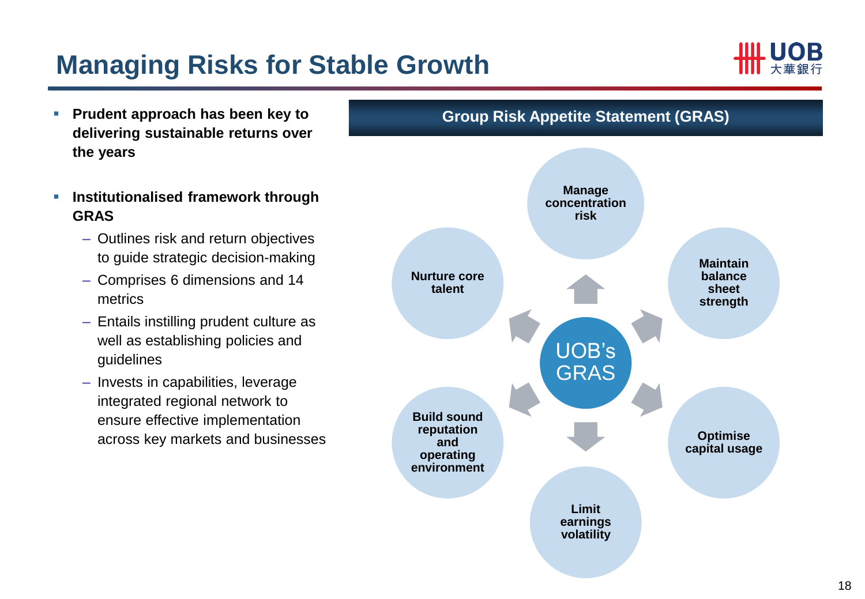## **Managing Risks for Stable Growth**



- **Prudent approach has been key to delivering sustainable returns over the years**
- **Institutionalised framework through GRAS** 
	- Outlines risk and return objectives to guide strategic decision-making
	- Comprises 6 dimensions and 14 metrics
	- Entails instilling prudent culture as well as establishing policies and guidelines
	- Invests in capabilities, leverage integrated regional network to ensure effective implementation across key markets and businesses

**Group Risk Appetite Statement (GRAS)**

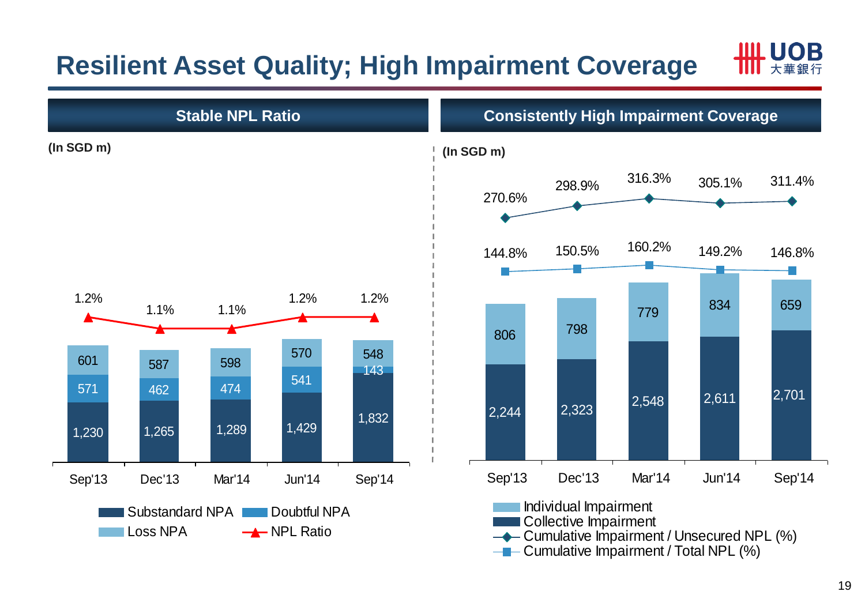# **Resilient Asset Quality; High Impairment Coverage**





 $\leftarrow$  Cumulative Impairment / Total NPL (%)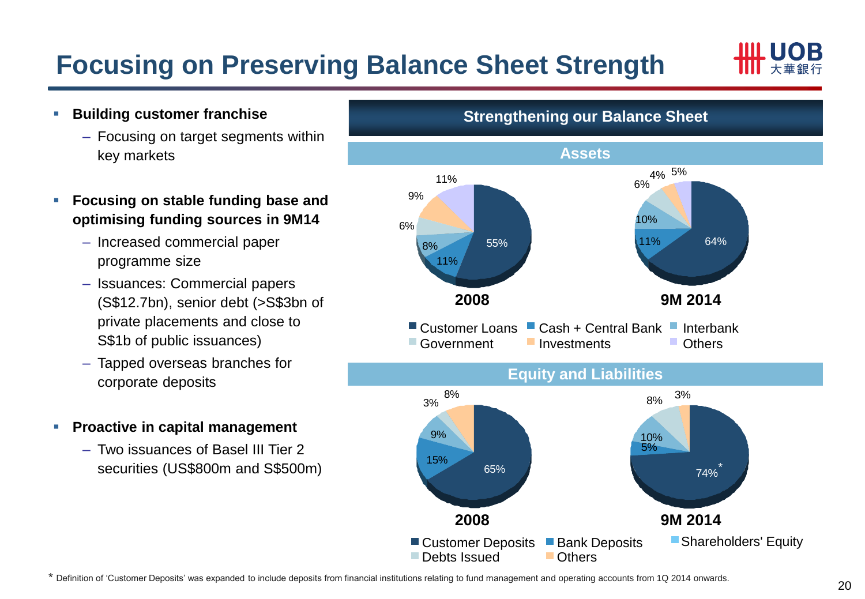# **Focusing on Preserving Balance Sheet Strength**



- **Building customer franchise**
	- Focusing on target segments within key markets
- **Focusing on stable funding base and optimising funding sources in 9M14**
	- Increased commercial paper programme size
	- Issuances: Commercial papers (S\$12.7bn), senior debt (>S\$3bn of private placements and close to S\$1b of public issuances)
	- Tapped overseas branches for corporate deposits
- **Proactive in capital management**
	- Two issuances of Basel III Tier 2 securities (US\$800m and S\$500m)



\* Definition of 'Customer Deposits' was expanded to include deposits from financial institutions relating to fund management and operating accounts from 1Q 2014 onwards.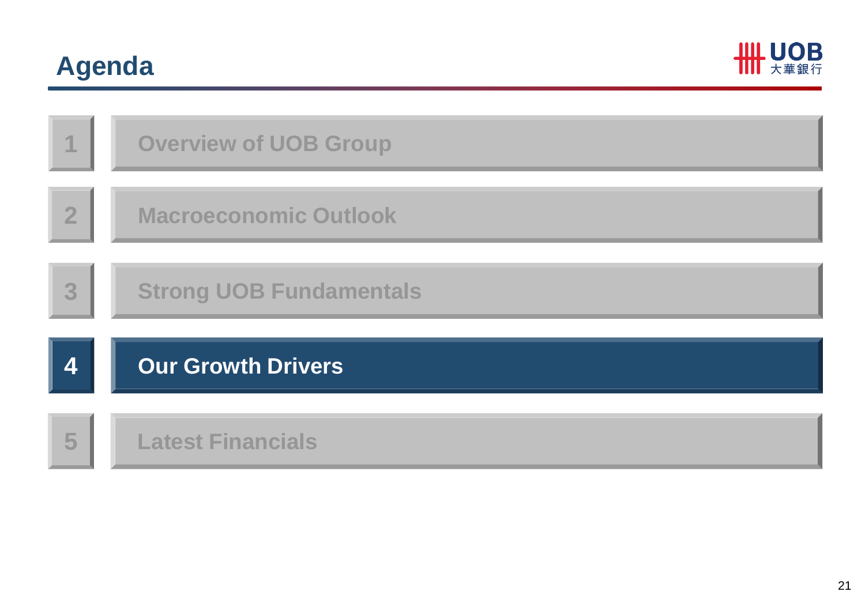# **Agenda**



| 1              | <b>Overview of UOB Group</b>   |
|----------------|--------------------------------|
| $\overline{2}$ | <b>Macroeconomic Outlook</b>   |
| 3              | <b>Strong UOB Fundamentals</b> |
| Δ              | <b>Our Growth Drivers</b>      |
| 5              | <b>Latest Financials</b>       |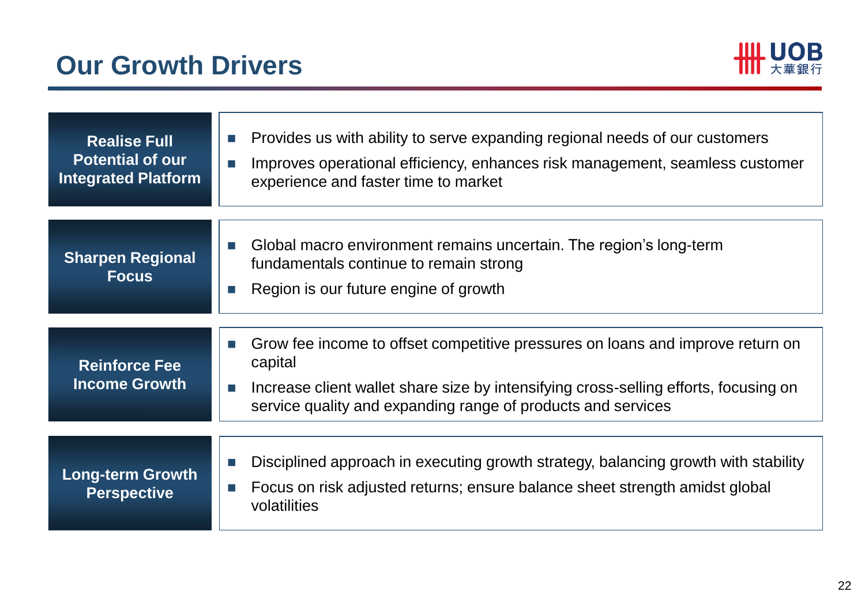

| <b>Realise Full</b><br><b>Potential of our</b><br><b>Integrated Platform</b> | Provides us with ability to serve expanding regional needs of our customers<br>$\mathcal{C}^{\mathcal{A}}$<br>Improves operational efficiency, enhances risk management, seamless customer<br>П<br>experience and faster time to market                      |
|------------------------------------------------------------------------------|--------------------------------------------------------------------------------------------------------------------------------------------------------------------------------------------------------------------------------------------------------------|
| <b>Sharpen Regional</b><br><b>Focus</b>                                      | Global macro environment remains uncertain. The region's long-term<br><b>Tale</b><br>fundamentals continue to remain strong<br>Region is our future engine of growth<br>×.                                                                                   |
| <b>Reinforce Fee</b><br><b>Income Growth</b>                                 | Grow fee income to offset competitive pressures on loans and improve return on<br>m.<br>capital<br>Increase client wallet share size by intensifying cross-selling efforts, focusing on<br>П<br>service quality and expanding range of products and services |
| <b>Long-term Growth</b><br><b>Perspective</b>                                | Disciplined approach in executing growth strategy, balancing growth with stability<br>П<br>Focus on risk adjusted returns; ensure balance sheet strength amidst global<br>m.<br>volatilities                                                                 |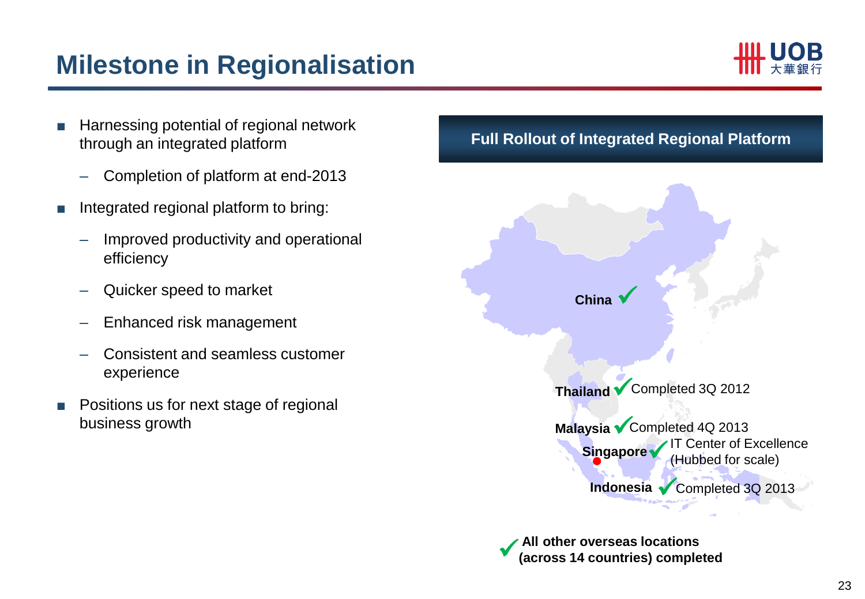### **Milestone in Regionalisation**



- Harnessing potential of regional network through an integrated platform
	- Completion of platform at end-2013
- Integrated regional platform to bring:
	- Improved productivity and operational efficiency
	- Quicker speed to market
	- Enhanced risk management
	- Consistent and seamless customer experience
- Positions us for next stage of regional business growth

### **Full Rollout of Integrated Regional Platform**



**All other overseas locations (across 14 countries) completed**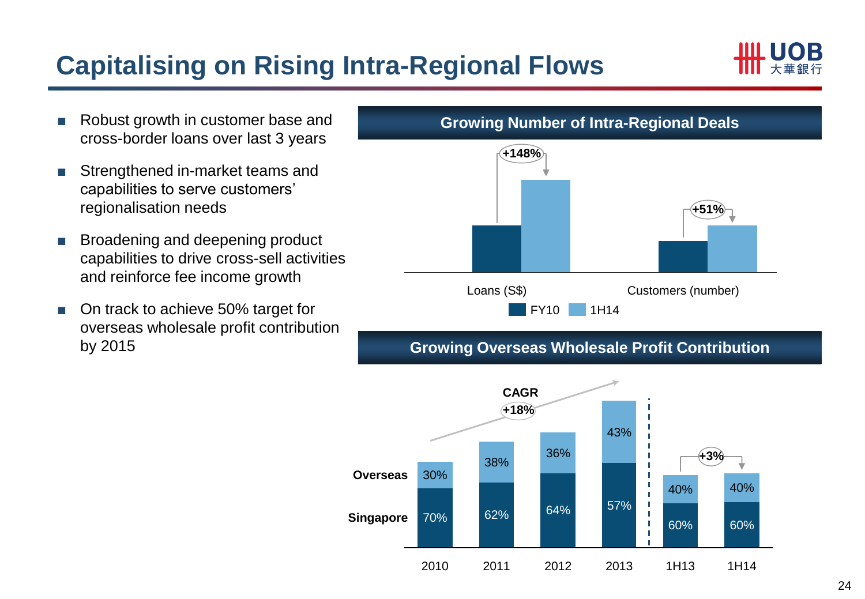# **Capitalising on Rising Intra-Regional Flows**



- Robust growth in customer base and cross-border loans over last 3 years
- Strengthened in-market teams and capabilities to serve customers' regionalisation needs
- Broadening and deepening product capabilities to drive cross-sell activities and reinforce fee income growth
- On track to achieve 50% target for overseas wholesale profit contribution by 2015



### **Growing Overseas Wholesale Profit Contribution**



### **Growing Number of Intra-Regional Deals**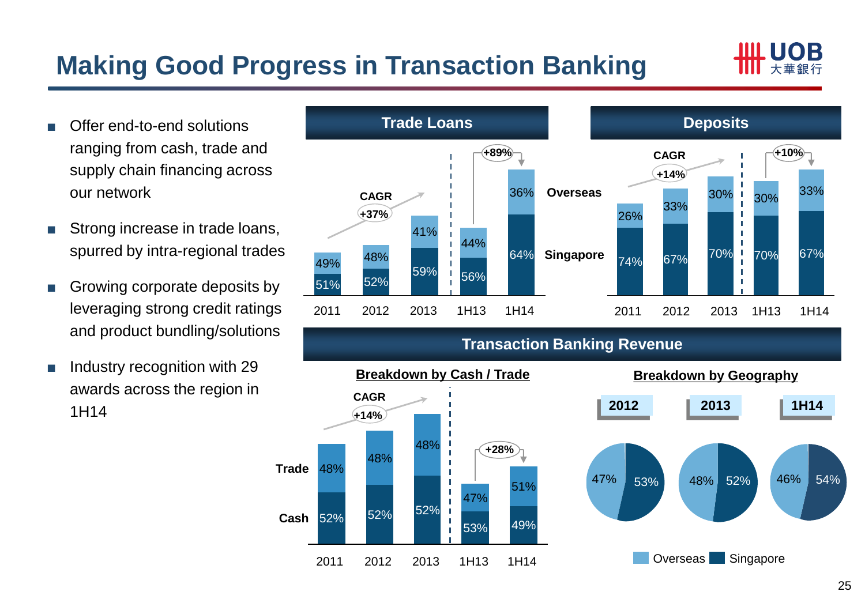## **Making Good Progress in Transaction Banking**



- Offer end-to-end solutions ranging from cash, trade and supply chain financing across our network
- Strong increase in trade loans, spurred by intra-regional trades
- Growing corporate deposits by leveraging strong credit ratings and product bundling/solutions
- Industry recognition with 29 awards across the region in 1H14



### **Transaction Banking Revenue**

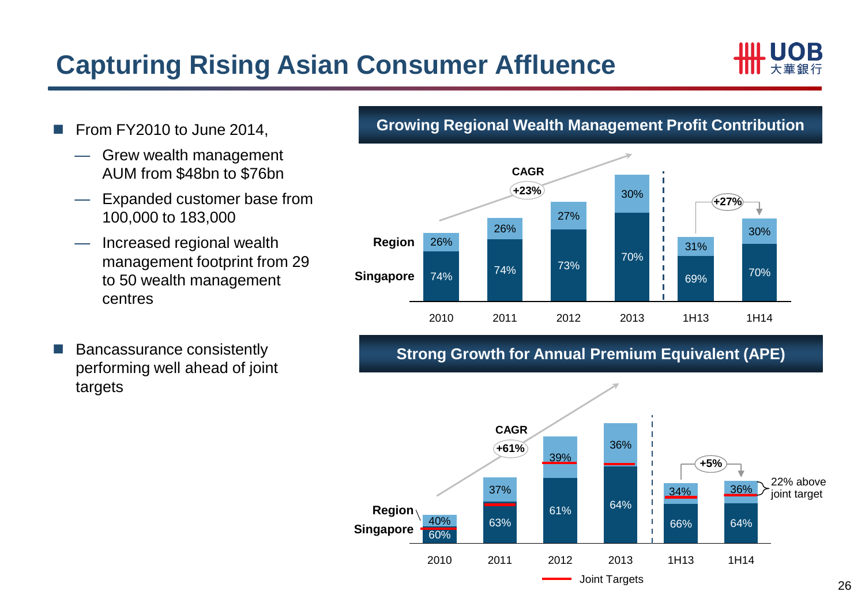## **Capturing Rising Asian Consumer Affluence**



- From FY2010 to June 2014,
	- Grew wealth management AUM from \$48bn to \$76bn
	- Expanded customer base from 100,000 to 183,000
	- Increased regional wealth management footprint from 29 to 50 wealth management centres
- Bancassurance consistently performing well ahead of joint targets

### **Growing Regional Wealth Management Profit Contribution**



### **Strong Growth for Annual Premium Equivalent (APE)**

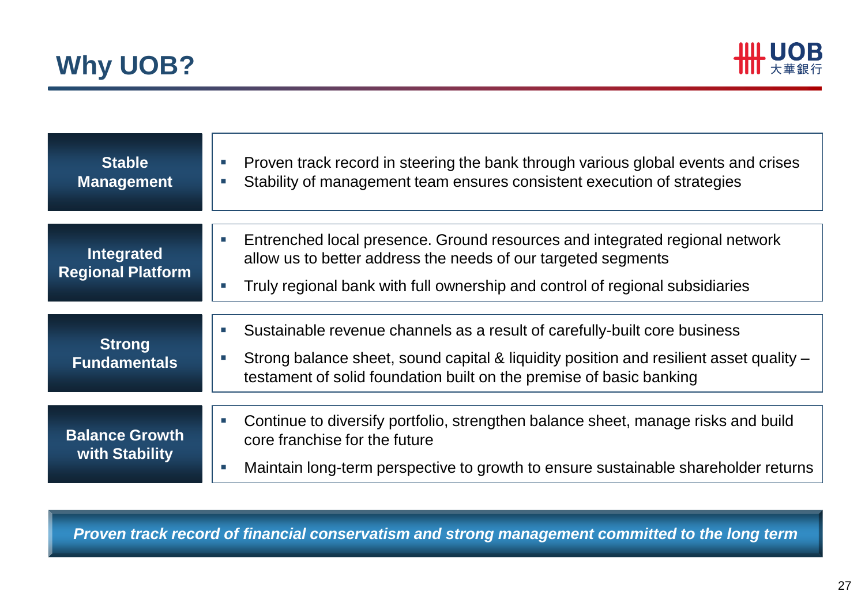



| <b>Stable</b><br><b>Management</b>      | Proven track record in steering the bank through various global events and crises<br>Stability of management team ensures consistent execution of strategies                                                                               |
|-----------------------------------------|--------------------------------------------------------------------------------------------------------------------------------------------------------------------------------------------------------------------------------------------|
| Integrated<br><b>Regional Platform</b>  | Entrenched local presence. Ground resources and integrated regional network<br>allow us to better address the needs of our targeted segments<br>Truly regional bank with full ownership and control of regional subsidiaries               |
| <b>Strong</b><br><b>Fundamentals</b>    | Sustainable revenue channels as a result of carefully-built core business<br>Strong balance sheet, sound capital & liquidity position and resilient asset quality -<br>testament of solid foundation built on the premise of basic banking |
| <b>Balance Growth</b><br>with Stability | Continue to diversify portfolio, strengthen balance sheet, manage risks and build<br>core franchise for the future<br>Maintain long-term perspective to growth to ensure sustainable shareholder returns                                   |

*Proven track record of financial conservatism and strong management committed to the long term*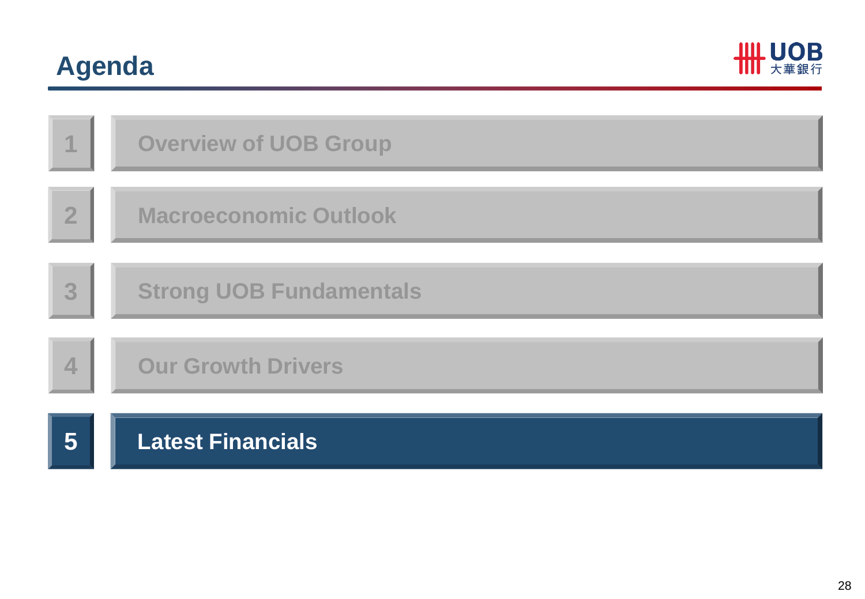# **Agenda**



| 1              | <b>Overview of UOB Group</b>   |
|----------------|--------------------------------|
| $\overline{2}$ | <b>Macroeconomic Outlook</b>   |
| 3              | <b>Strong UOB Fundamentals</b> |
| 4              | <b>Our Growth Drivers</b>      |
| 5              | <b>Latest Financials</b>       |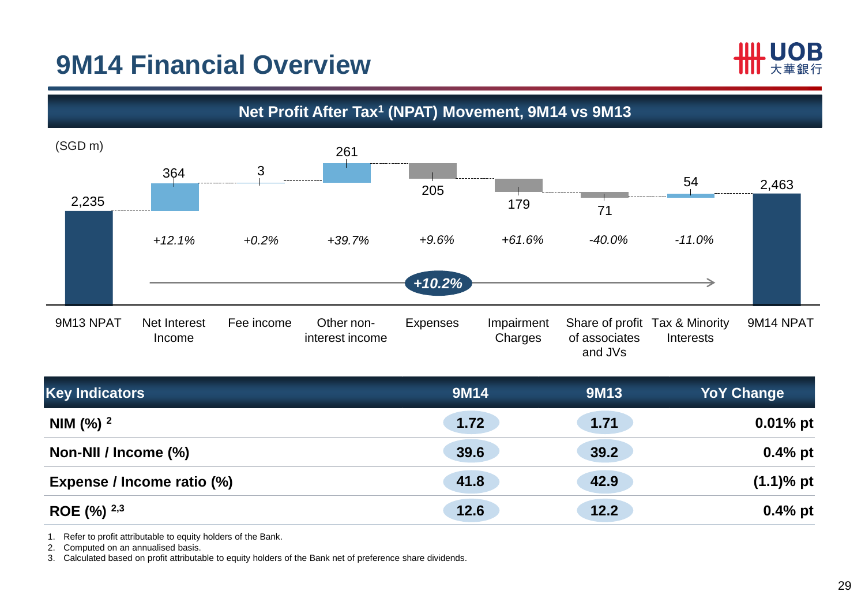### **9M14 Financial Overview**





| <b>Key Indicators</b>      | 9M14 | <b>9M13</b> | <b>YoY Change</b> |
|----------------------------|------|-------------|-------------------|
| NIM $(\%)$ <sup>2</sup>    | 1.72 | 1.71        | $0.01\%$ pt       |
| Non-NII / Income (%)       | 39.6 | 39.2        | $0.4\%$ pt        |
| Expense / Income ratio (%) | 41.8 | 42.9        | $(1.1)$ % pt      |
| ROE $(\%)$ 2,3             | 12.6 | 12.2        | $0.4\%$ pt        |

1. Refer to profit attributable to equity holders of the Bank.

2. Computed on an annualised basis.

3. Calculated based on profit attributable to equity holders of the Bank net of preference share dividends.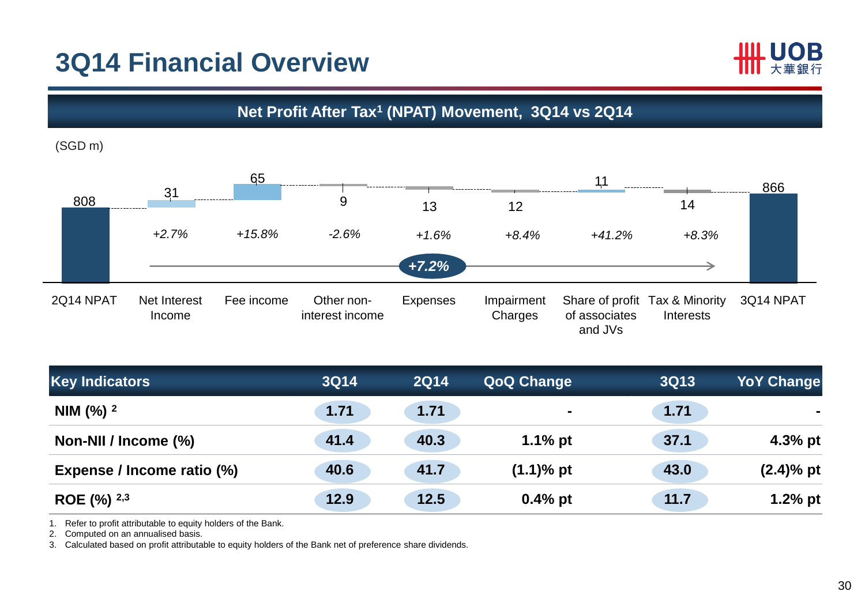### **3Q14 Financial Overview**



**Net Profit After Tax<sup>1</sup> (NPAT) Movement, 3Q14 vs 2Q14**

(SGD m)



| <b>Key Indicators</b>          | <b>3Q14</b> | <b>2Q14</b> | <b>QoQ Change</b> | <b>3Q13</b> | <b>YoY Change</b> |
|--------------------------------|-------------|-------------|-------------------|-------------|-------------------|
| NIM $\frac{9}{6}$ <sup>2</sup> | 1.71        | 1.71        | $\blacksquare$    | 1.71        |                   |
| Non-NII / Income (%)           | 41.4        | 40.3        | $1.1\%$ pt        | 37.1        | $4.3%$ pt         |
| Expense / Income ratio (%)     | 40.6        | 41.7        | $(1.1)$ % pt      | 43.0        | $(2.4)$ % pt      |
| ROE $(\%)$ 2,3                 | 12.9        | 12.5        | $0.4%$ pt         | 11.7        | $1.2%$ pt         |

1. Refer to profit attributable to equity holders of the Bank.

2. Computed on an annualised basis.

3. Calculated based on profit attributable to equity holders of the Bank net of preference share dividends.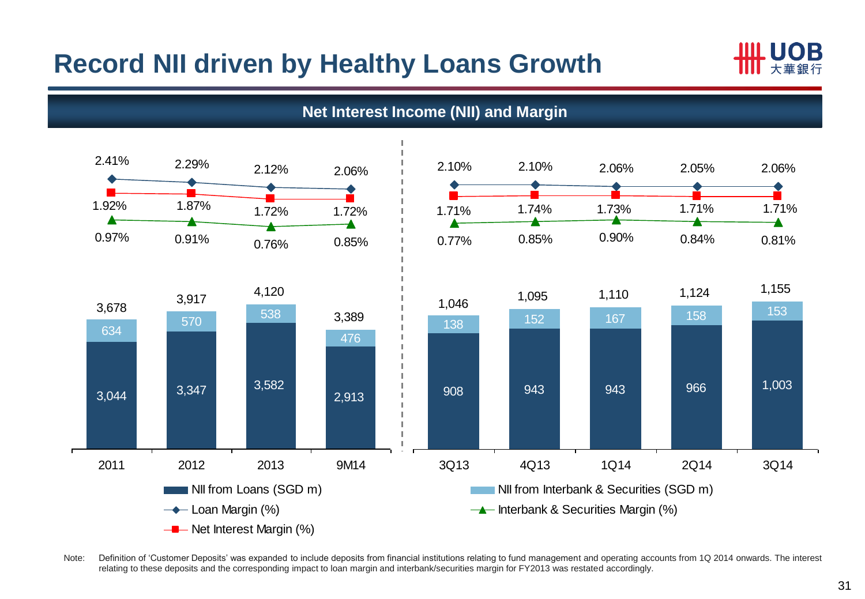### **Record NII driven by Healthy Loans Growth**





Note: Definition of 'Customer Deposits' was expanded to include deposits from financial institutions relating to fund management and operating accounts from 1Q 2014 onwards. The interest relating to these deposits and the corresponding impact to loan margin and interbank/securities margin for FY2013 was restated accordingly.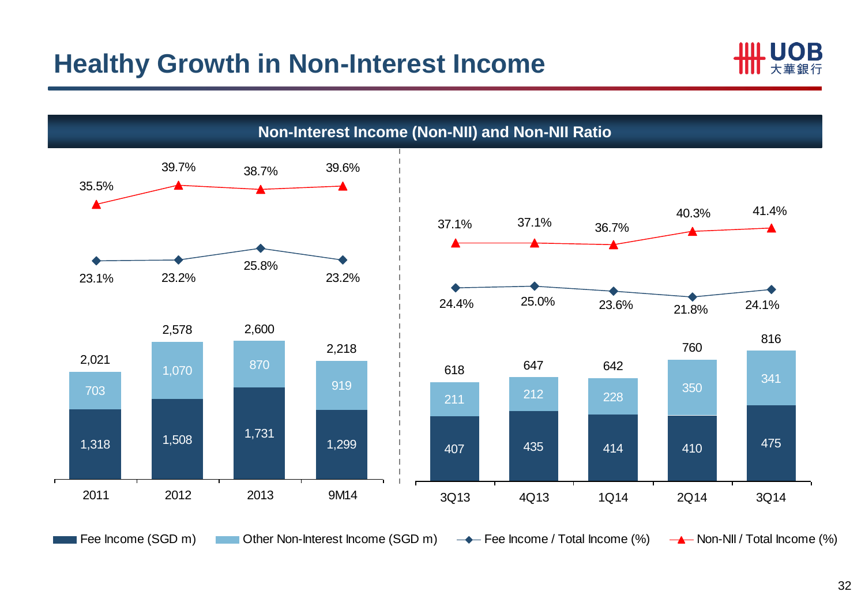

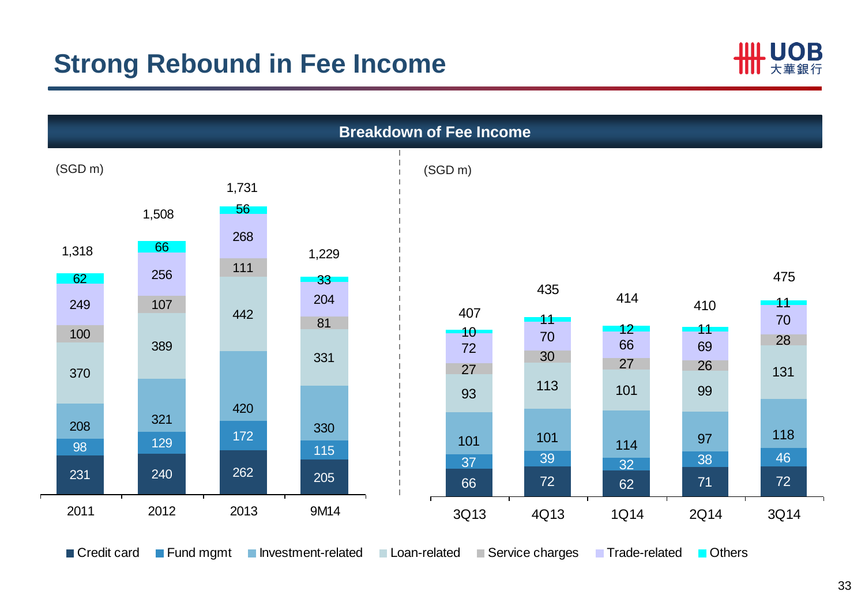

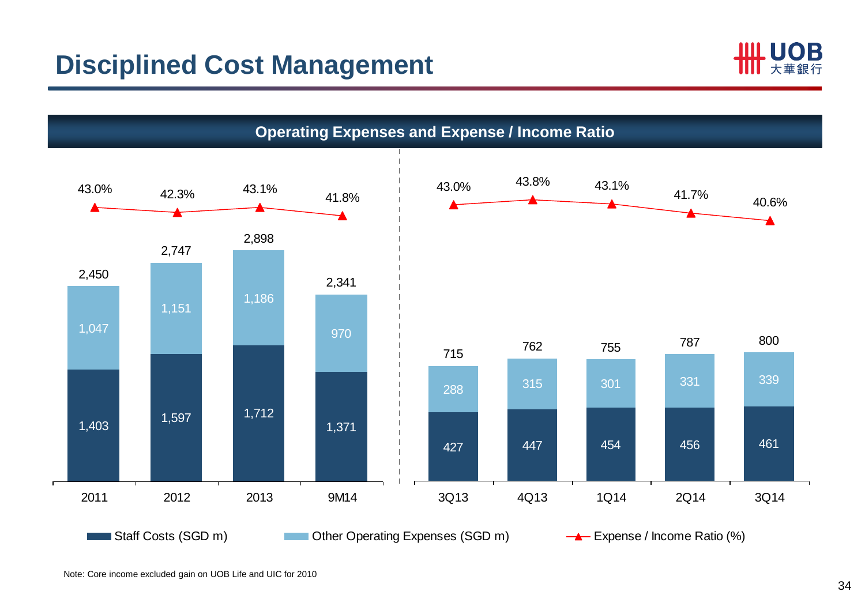

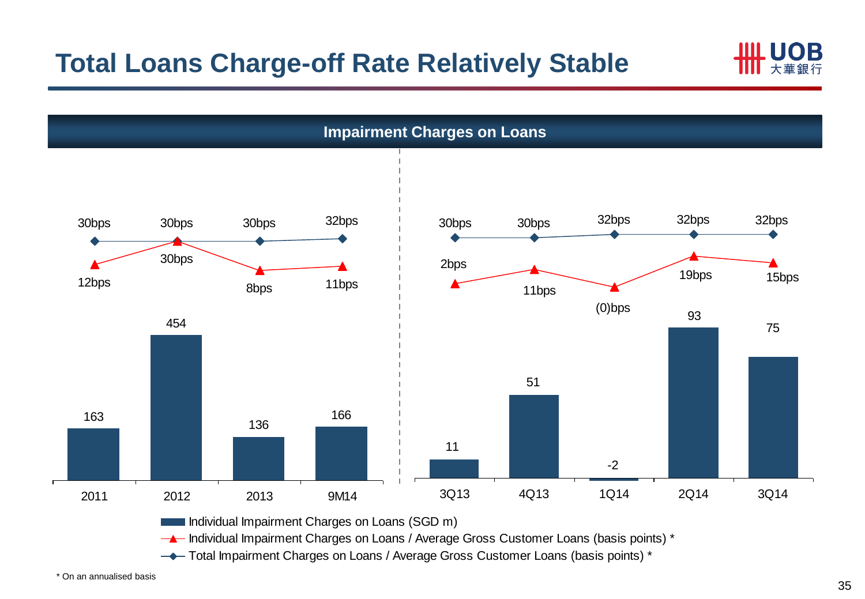

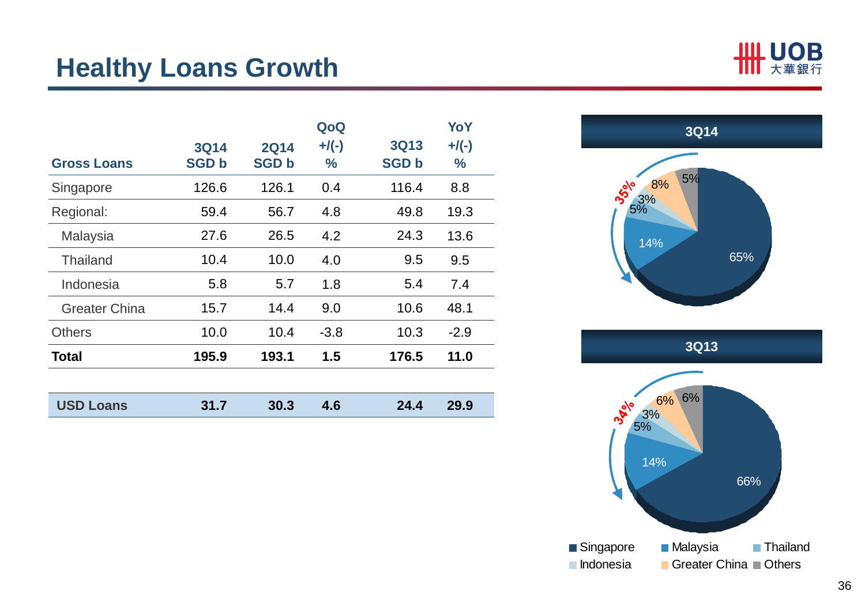### **Healthy Loans Growth**

| <b>USD Loans</b>     | 31.7         | 30.3         | 4.6           | 24.4         | 29.9          |
|----------------------|--------------|--------------|---------------|--------------|---------------|
|                      |              |              |               |              |               |
| <b>Total</b>         | 195.9        | 193.1        | 1.5           | 176.5        | 11.0          |
| <b>Others</b>        | 10.0         | 10.4         | $-3.8$        | 10.3         | $-2.9$        |
| <b>Greater China</b> | 15.7         | 14.4         | 9.0           | 10.6         | 48.1          |
| Indonesia            | 5.8          | 5.7          | 1.8           | 5.4          | 7.4           |
| <b>Thailand</b>      | 10.4         | 10.0         | 4.0           | 9.5          | 9.5           |
| Malaysia             | 27.6         | 26.5         | 4.2           | 24.3         | 13.6          |
| Regional:            | 59.4         | 56.7         | 4.8           | 49.8         | 19.3          |
| Singapore            | 126.6        | 126.1        | 0.4           | 116.4        | 8.8           |
| <b>Gross Loans</b>   | <b>SGD b</b> | <b>SGD b</b> | $\frac{1}{2}$ | <b>SGD b</b> | $\frac{0}{0}$ |
|                      | <b>3Q14</b>  | <b>2Q14</b>  | $+$ /(-)      | <b>3Q13</b>  | $+$ /(-)      |
|                      |              |              | QoQ           |              | YoY           |

14% 8% 5% 5% 65% 3% **3Q14**



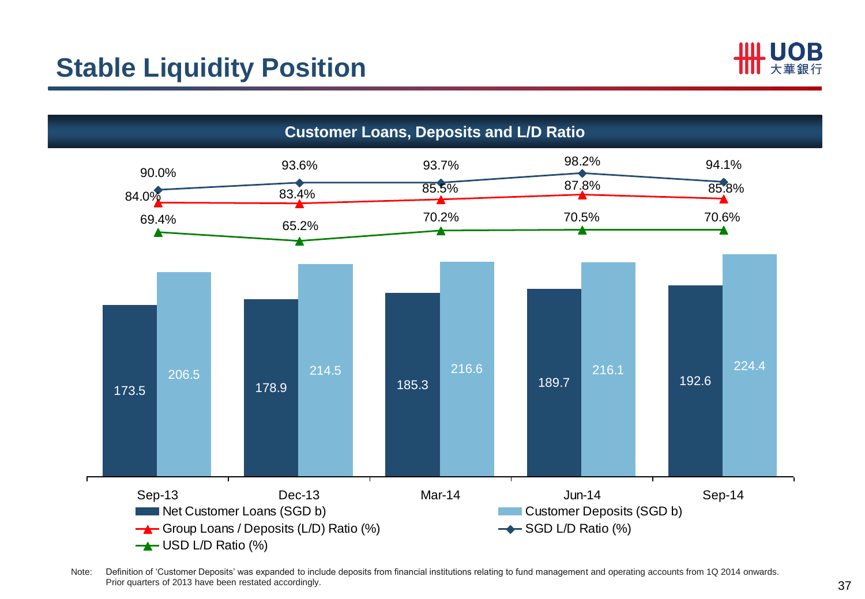## **Stable Liquidity Position**





Note: Definition of 'Customer Deposits' was expanded to include deposits from financial institutions relating to fund management and operating accounts from 1Q 2014 onwards. Prior quarters of 2013 have been restated accordingly.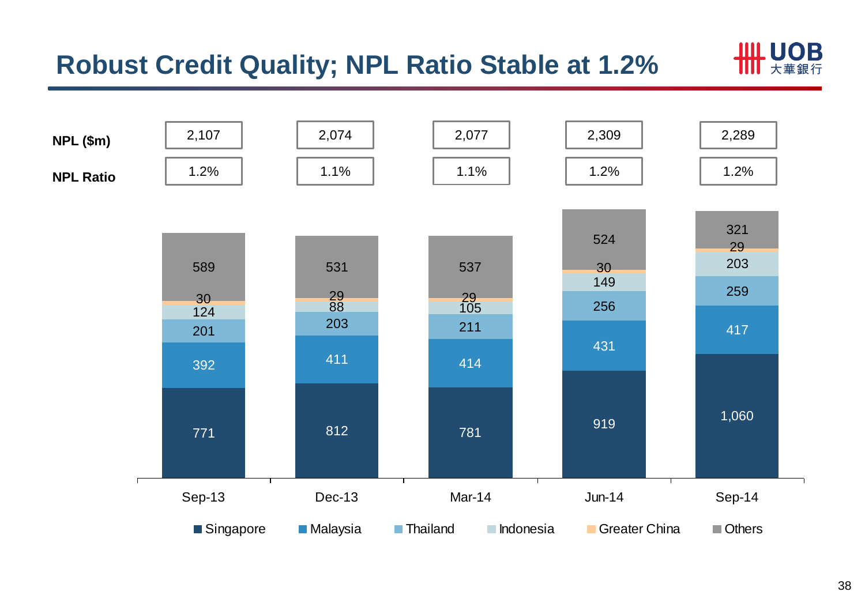## **Robust Credit Quality; NPL Ratio Stable at 1.2%**



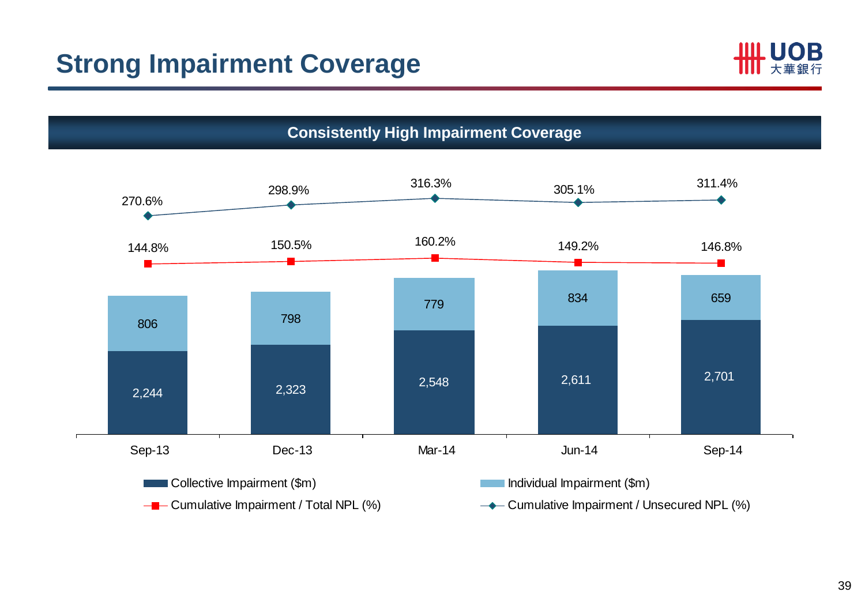



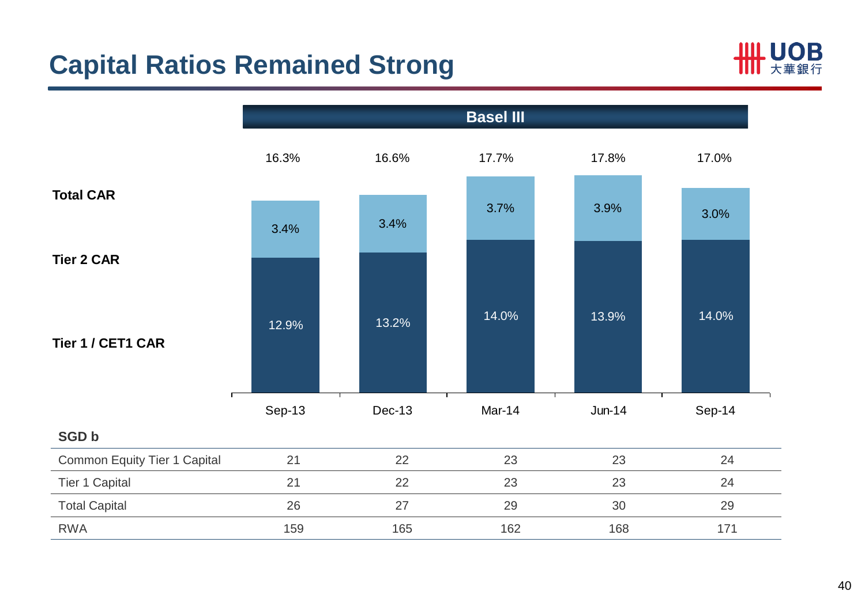## **Capital Ratios Remained Strong**